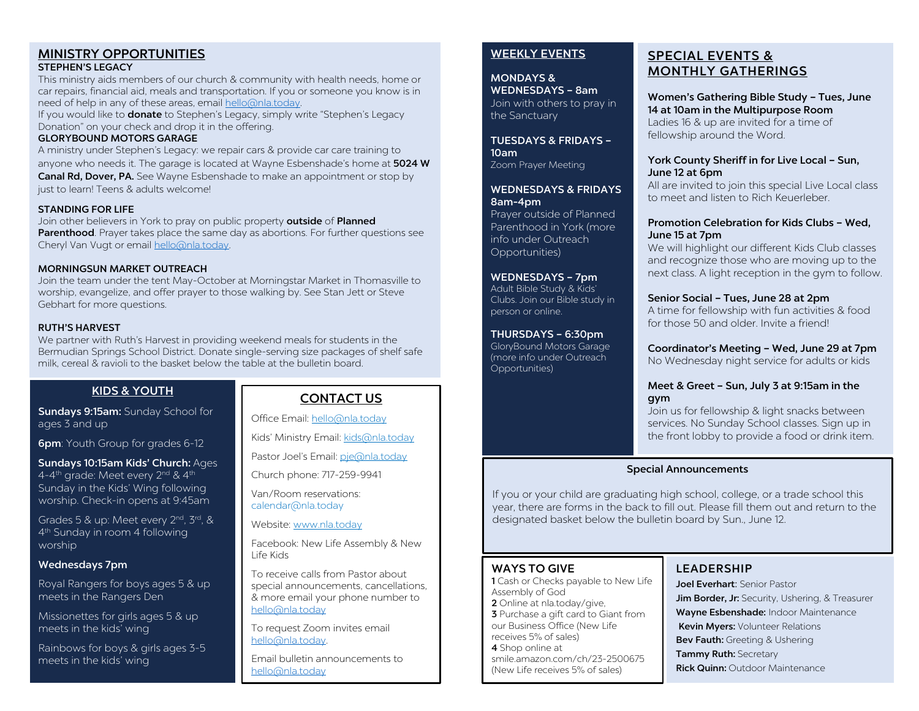#### MINISTRY OPPORTUNITIES STEPHEN'S LEGACY

This ministry aids members of our church & community with health needs, home or car repairs, financial aid, meals and transportation. If you or someone you know is in need of help in any of these areas, email [hello@nla.today.](mailto:hello@nla.today) 

If you would like to **donate** to Stephen's Legacy, simply write "Stephen's Legacy Donation" on your check and drop it in the offering.

#### GLORYBOUND MOTORS GARAGE

A ministry under Stephen's Legacy: we repair cars & provide car care training to anyone who needs it. The garage is located at Wayne Esbenshade's home at 5024 W Canal Rd, Dover, PA. See Wayne Esbenshade to make an appointment or stop by just to learn! Teens & adults welcome!

#### STANDING FOR LIFE

Join other believers in York to pray on public property outside of Planned Parenthood. Prayer takes place the same day as abortions. For further questions see Cheryl Van Vugt or email [hello@nla.today.](mailto:hello@nla.today) 

#### MORNINGSUN MARKET OUTREACH

Join the team under the tent May-October at Morningstar Market in Thomasville to worship, evangelize, and offer prayer to those walking by. See Stan Jett or Steve Gebhart for more questions.

#### RUTH'S HARVEST

We partner with Ruth's Harvest in providing weekend meals for students in the Bermudian Springs School District. Donate single-serving size packages of shelf safe milk, cereal & ravioli to the basket below the table at the bulletin board.

#### KIDS & YOUTH

Sundays 9:15am: Sunday School for ages 3 and up

**6pm**: Youth Group for grades 6-12

Sundays 10:15am Kids' Church: Ages 4-4<sup>th</sup> grade: Meet every 2<sup>nd</sup> & 4<sup>th</sup> Sunday in the Kids' Wing following worship. Check-in opens at 9:45am

Grades 5 & up: Meet every 2<sup>nd</sup>, 3<sup>rd</sup>, & 4th Sunday in room 4 following worship

#### Wednesdays 7pm

Royal Rangers for boys ages 5 & up meets in the Rangers Den

Missionettes for girls ages 5 & up meets in the kids' wing

Rainbows for boys & girls ages 3-5 meets in the kids' wing

## CONTACT US

Office Email[: hello@nla.today](mailto:hello@nla.today)

Kids' Ministry Email[: kids@nla.today](mailto:kids@nla.today)

Pastor Joel's Email: [pje@nla.today](mailto:pje@nla.today)

Church phone: 717-259-9941

Van/Room reservations: calendar@nla.today

Website: [www.nla.today](http://www.nla.today/)

Facebook: New Life Assembly & New Life Kids

To receive calls from Pastor about special announcements, cancellations, & more email your phone number to [hello@nla.today](mailto:hello@nla.today)

To request Zoom invites email [hello@nla.today.](mailto:hello@nla.today) 

Email bulletin announcements to [hello@nla.today](mailto:hello@nla.today)

#### WEEKLY EVENTS

MONDAYS & WEDNESDAYS – 8am Join with others to pray in

the Sanctuary

TUESDAYS & FRIDAYS – 10am Zoom Prayer Meeting

WEDNESDAYS & FRIDAYS 8am-4pm

Prayer outside of Planned Parenthood in York (more info under Outreach Opportunities)

WEDNESDAYS – 7pm Adult Bible Study & Kids' Clubs. Join our Bible study in person or online.

THURSDAYS – 6:30pm

GloryBound Motors Garage (more info under Outreach Opportunities)

# SPECIAL EVENTS & MONTHLY GATHERINGS

Women's Gathering Bible Study – Tues, June 14 at 10am in the Multipurpose Room Ladies 16 & up are invited for a time of fellowship around the Word.

#### York County Sheriff in for Live Local – Sun, June 12 at 6pm

All are invited to join this special Live Local class to meet and listen to Rich Keuerleber.

#### Promotion Celebration for Kids Clubs – Wed, June 15 at 7pm

We will highlight our different Kids Club classes and recognize those who are moving up to the next class. A light reception in the gym to follow.

#### Senior Social – Tues, June 28 at 2pm

A time for fellowship with fun activities & food for those 50 and older. Invite a friend!

Coordinator's Meeting – Wed, June 29 at 7pm No Wednesday night service for adults or kids

#### Meet & Greet – Sun, July 3 at 9:15am in the gym

Join us for fellowship & light snacks between services. No Sunday School classes. Sign up in the front lobby to provide a food or drink item.

#### Special Announcements

If you or your child are graduating high school, college, or a trade school this year, there are forms in the back to fill out. Please fill them out and return to the designated basket below the bulletin board by Sun., June 12.

#### WAYS TO GIVE

1 Cash or Checks payable to New Life Assembly of God 2 Online at nla.today/give, **3** Purchase a gift card to Giant from our Business Office (New Life receives 5% of sales) 4 Shop online at smile.amazon.com/ch/23-2500675 (New Life receives 5% of sales)

## LEADERSHIP

Joel Everhart: Senior Pastor Jim Border, Jr: Security, Ushering, & Treasurer Wayne Esbenshade: Indoor Maintenance Kevin Myers: Volunteer Relations Bev Fauth: Greeting & Ushering Tammy Ruth: Secretary **Rick Quinn: Outdoor Maintenance**